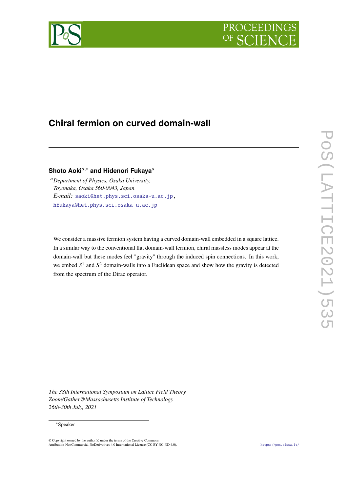



# **Chiral fermion on curved domain-wall**

## **Shoto Aoki<sup>***a***,∗</sup> and Hidenori Fukaya<sup>***a***</sup>**

*Department of Physics, Osaka University, Toyonaka, Osaka 560-0043, Japan E-mail:* saoki@het.phys.sci.osaka-u.ac.jp, hfukaya@het.phys.sci.osaka-u.ac.jp

We consider a massive fermion system having a curved domain-wall embedded in a square lattice. In a similar way to the conventional flat domain-wall fermion, chiral massless modes appear at the domain-wall but these modes feel "gravity" through the induced spin connections. In this work, we embed  $S<sup>1</sup>$  and  $S<sup>2</sup>$  domain-walls into a Euclidean space and show how the gravity is detected from the spectrum of the Dirac operator.

*The 38th International Symposium on Lattice Field Theory Zoom/Gather@Massachusetts Institute of Technology 26th-30th July, 2021*

### ∗Speaker

<sup>©</sup> Copyright owned by the author(s) under the terms of the Creative Commons Attribution-NonCommercial-NoDerivatives 4.0 International License (CC BY-NC-ND 4.0). https://pos.sissa.it/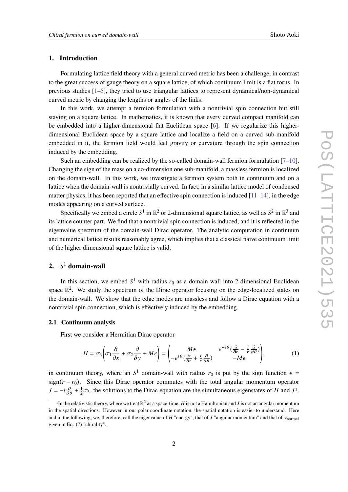### **1. Introduction**

Formulating lattice field theory with a general curved metric has been a challenge, in contrast to the great success of gauge theory on a square lattice, of which continuum limit is a flat torus. In previous studies [1–5], they tried to use triangular lattices to represent dynamical/non-dynamical curved metric by changing the lengths or angles of the links.

In this work, we attempt a fermion formulation with a nontrivial spin connection but still staying on a square lattice. In mathematics, it is known that every curved compact manifold can be embedded into a higher-dimensional flat Euclidean space [6]. If we regularize this higherdimensional Euclidean space by a square lattice and localize a field on a curved sub-manifold embedded in it, the fermion field would feel gravity or curvature through the spin connection induced by the embedding.

Such an embedding can be realized by the so-called domain-wall fermion formulation [7–10]. Changing the sign of the mass on a co-dimension one sub-manifold, a massless fermion is localized on the domain-wall. In this work, we investigate a fermion system both in continuum and on a lattice when the domain-wall is nontrivially curved. In fact, in a similar lattice model of condensed matter physics, it has been reported that an effective spin connection is induced  $[11-14]$ , in the edge modes appearing on a curved surface.

Specifically we embed a circle  $S^1$  in  $\mathbb{R}^2$  or 2-dimensional square lattice, as well as  $S^2$  in  $\mathbb{R}^3$  and its lattice counter part. We find that a nontrivial spin connection is induced, and it is reflected in the eigenvalue spectrum of the domain-wall Dirac operator. The analytic computation in continuum and numerical lattice results reasonably agree, which implies that a classical naive continuum limit of the higher dimensional square lattice is valid.

## **2.** <sup>1</sup> **domain-wall**

In this section, we embed  $S^1$  with radius  $r_0$  as a domain wall into 2-dimensional Euclidean space  $\mathbb{R}^2$ . We study the spectrum of the Dirac operator focusing on the edge-localized states on the domain-wall. We show that the edge modes are massless and follow a Dirac equation with a nontrivial spin connection, which is effectively induced by the embedding.

### **2.1 Continuum analysis**

First we consider a Hermitian Dirac operator

$$
H = \sigma_3 \left( \sigma_1 \frac{\partial}{\partial x} + \sigma_2 \frac{\partial}{\partial y} + M \epsilon \right) = \begin{pmatrix} M \epsilon & e^{-i\theta} \left( \frac{\partial}{\partial r} - \frac{i}{r} \frac{\partial}{\partial \theta} \right) \\ -e^{i\theta} \left( \frac{\partial}{\partial r} + \frac{i}{r} \frac{\partial}{\partial \theta} \right) & -M \epsilon \end{pmatrix},
$$
(1)

in continuum theory, where an  $S^1$  domain-wall with radius  $r_0$  is put by the sign function  $\epsilon =$ sign( $r - r_0$ ). Since this Dirac operator commutes with the total angular momentum operator  $J = -i\frac{\partial}{\partial \theta} + \frac{1}{2}$  $\frac{1}{2}\sigma_3$ , the solutions to the Dirac equation are the simultaneous eigenstates of H and  $J^1$ .

<sup>&</sup>lt;sup>1</sup>In the relativistic theory, where we treat  $\R^2$  as a space-time,  $H$  is not a Hamiltonian and  $J$  is not an angular momentum in the spatial directions. However in our polar coordinate notation, the spatial notation is easier to understand. Here and in the following, we, therefore, call the eigenvalue of H "energy", that of  $J$  "angular momentum" and that of  $\gamma_{\text{normal}}$ given in Eq. (7) "chirality".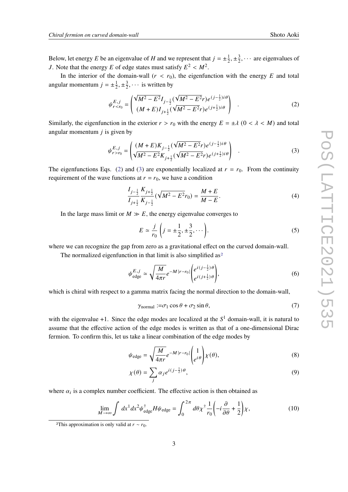Below, let energy E be an eigenvalue of H and we represent that  $j = \pm \frac{1}{2}$  $\frac{1}{2}$ ,  $\pm \frac{3}{2}$  $\frac{3}{2}$ ,  $\cdots$  are eigenvalues of J. Note that the energy E of edge states must satisfy  $E^2 < M^2$ .

In the interior of the domain-wall  $(r < r_0)$ , the eigenfunction with the energy E and total angular momentum  $j = \pm \frac{1}{2}$  $\frac{1}{2}$ ,  $\pm \frac{3}{2}$  $\frac{3}{2}$ ,  $\cdots$  is written by

$$
\psi_{r (2)
$$

Similarly, the eigenfunction in the exterior  $r > r_0$  with the energy  $E = \pm \lambda$  ( $0 < \lambda < M$ ) and total angular momentum  $j$  is given by

$$
\psi_{r>r_0}^{E,j} = \begin{pmatrix} (M+E)K_{j-\frac{1}{2}}(\sqrt{M^2 - E^2}r)e^{(j-\frac{1}{2})i\theta} \\ \sqrt{M^2 - E^2}K_{j+\frac{1}{2}}(\sqrt{M^2 - E^2}r)e^{(j+\frac{1}{2})i\theta} \end{pmatrix} .
$$
 (3)

The eigenfunctions Eqs. (2) and (3) are exponentially localized at  $r = r_0$ . From the continuity requirement of the wave functions at  $r = r_0$ , we have a condition

$$
\frac{I_{j-\frac{1}{2}}}{I_{j+\frac{1}{2}}} \frac{K_{j+\frac{1}{2}}}{K_{j-\frac{1}{2}}} \left( \sqrt{M^2 - E^2} r_0 \right) = \frac{M + E}{M - E}.
$$
\n(4)

In the large mass limit or  $M \gg E$ , the energy eigenvalue converges to

$$
E \simeq \frac{j}{r_0} \left( j = \pm \frac{1}{2}, \pm \frac{3}{2}, \cdots \right). \tag{5}
$$

where we can recognize the gap from zero as a gravitational effect on the curved domain-wall.

The normalized eigenfunction in that limit is also simplified as<sup>2</sup>

$$
\psi_{\text{edge}}^{E,j} \simeq \sqrt{\frac{M}{4\pi r}} e^{-M|r - r_0|} \begin{pmatrix} e^{i(j-\frac{1}{2})\theta} \\ e^{i(j+\frac{1}{2})\theta} \end{pmatrix},\tag{6}
$$

which is chiral with respect to a gamma matrix facing the normal direction to the domain-wall,

$$
\gamma_{\text{normal}} := \sigma_1 \cos \theta + \sigma_2 \sin \theta,\tag{7}
$$

with the eigenvalue  $+1$ . Since the edge modes are localized at the  $S<sup>1</sup>$  domain-wall, it is natural to assume that the effective action of the edge modes is written as that of a one-dimensional Dirac fermion. To confirm this, let us take a linear combination of the edge modes by

$$
\psi_{\text{edge}} = \sqrt{\frac{M}{4\pi r}} e^{-M|r - r_0|} \binom{1}{e^{i\theta}} \chi(\theta),\tag{8}
$$

$$
\chi(\theta) = \sum_{j} \alpha_{j} e^{i(j - \frac{1}{2})\theta},\tag{9}
$$

where  $\alpha_i$  is a complex number coefficient. The effective action is then obtained as

$$
\lim_{M \to \infty} \int dx^1 dx^2 \psi_{\text{edge}}^{\dagger} H \psi_{\text{edge}} = \int_0^{2\pi} d\theta \chi^{\dagger} \frac{1}{r_0} \left( -i \frac{\partial}{\partial \theta} + \frac{1}{2} \right) \chi,\tag{10}
$$

<sup>&</sup>lt;sup>2</sup>This approximation is only valid at  $r \sim r_0$ .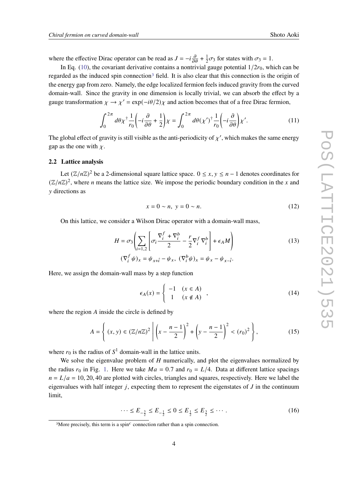where the effective Dirac operator can be read as  $J = -i \frac{\partial}{\partial \theta} + \frac{1}{2}$  $\frac{1}{2}\sigma_3$  for states with  $\sigma_3 = 1$ .

In Eq. (10), the covariant derivative contains a nontrivial gauge potential  $1/2r_0$ , which can be regarded as the induced spin connection<sup>3</sup> field. It is also clear that this connection is the origin of the energy gap from zero. Namely, the edge localized fermion feels induced gravity from the curved domain-wall. Since the gravity in one dimension is locally trivial, we can absorb the effect by a gauge transformation  $\chi \to \chi' = \exp(-i\theta/2)\chi$  and action becomes that of a free Dirac fermion,

$$
\int_0^{2\pi} d\theta \chi^\dagger \frac{1}{r_0} \left( -i \frac{\partial}{\partial \theta} + \frac{1}{2} \right) \chi = \int_0^{2\pi} d\theta (\chi')^\dagger \frac{1}{r_0} \left( -i \frac{\partial}{\partial \theta} \right) \chi'. \tag{11}
$$

The global effect of gravity is still visible as the anti-periodicity of  $\chi'$ , which makes the same energy gap as the one with  $\chi$ .

### **2.2 Lattice analysis**

Let  $(\mathbb{Z}/n\mathbb{Z})^2$  be a 2-dimensional square lattice space.  $0 \le x, y \le n - 1$  denotes coordinates for  $(\mathbb{Z}/n\mathbb{Z})^2$ , where *n* means the lattice size. We impose the periodic boundary condition in the *x* and directions as

$$
x = 0 \sim n, \ y = 0 \sim n. \tag{12}
$$

On this lattice, we consider a Wilson Dirac operator with a domain-wall mass,

$$
H = \sigma_3 \left( \sum_{i=1,2} \left[ \sigma_i \frac{\nabla_i^f + \nabla_i^b}{2} - \frac{r}{2} \nabla_i^f \nabla_i^b \right] + \epsilon_A M \right)
$$
  

$$
(\nabla_i^f \psi)_x = \psi_{x+\hat{i}} - \psi_x, \ (\nabla_i^b \psi)_x = \psi_x - \psi_{x-\hat{i}}.
$$
 (13)

Here, we assign the domain-wall mass by a step function

$$
\epsilon_A(x) = \begin{cases}\n-1 & (x \in A) \\
1 & (x \notin A)\n\end{cases},
$$
\n(14)

where the region  $A$  inside the circle is defined by

$$
A = \left\{ (x, y) \in (\mathbb{Z}/n\mathbb{Z})^2 \; \middle| \; \left( x - \frac{n-1}{2} \right)^2 + \left( y - \frac{n-1}{2} \right)^2 < (r_0)^2 \right\},\tag{15}
$$

where  $r_0$  is the radius of  $S^1$  domain-wall in the lattice units.

We solve the eigenvalue problem of  $H$  numerically, and plot the eigenvalues normalized by the radius  $r_0$  in Fig. 1. Here we take  $Ma = 0.7$  and  $r_0 = L/4$ . Data at different lattice spacings  $n = L/a = 10, 20, 40$  are plotted with circles, triangles and squares, respectively. Here we label the eigenvalues with half integer  $j$ , expecting them to represent the eigenstates of  $J$  in the continuum limit,

$$
\cdots \le E_{-\frac{3}{2}} \le E_{-\frac{1}{2}} \le 0 \le E_{\frac{1}{2}} \le E_{\frac{3}{2}} \le \cdots \,. \tag{16}
$$

 $3$ More precisely, this term is a spin $^c$  connection rather than a spin connection.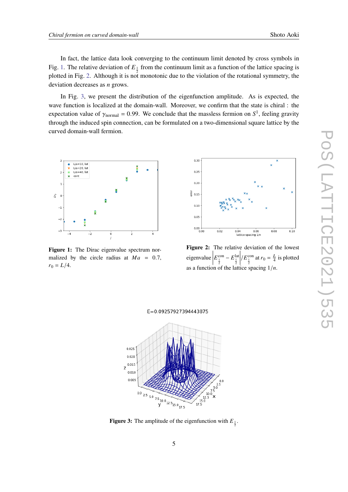In fact, the lattice data look converging to the continuum limit denoted by cross symbols in Fig. 1. The relative deviation of  $E_{\frac{1}{2}}$  from the continuum limit as a function of the lattice spacing is plotted in Fig. 2. Although it is not monotonic due to the violation of the rotational symmetry, the deviation decreases as  $n$  grows.

In Fig. 3, we present the distribution of the eigenfunction amplitude. As is expected, the wave function is localized at the domain-wall. Moreover, we confirm that the state is chiral : the expectation value of  $\gamma_{\text{normal}} = 0.99$ . We conclude that the massless fermion on  $S^1$ , feeling gravity through the induced spin connection, can be formulated on a two-dimensional square lattice by the curved domain-wall fermion.



**Figure 1:** The Dirac eigenvalue spectrum normalized by the circle radius at  $Ma = 0.7$ ,  $r_0 = L/4.$ 



**Figure 2:** The relative deviation of the lowest eigenvalue  $E_{\frac{1}{2}}^{\text{con}} - E_{\frac{1}{2}}^{\text{lat}}$  $\left| / E_{\frac{1}{2}}^{\text{con}} \text{ at } r_0 = \frac{L}{4} \text{ is plotted} \right|$ as a function of the lattice spacing  $1/n$ .



**Figure 3:** The amplitude of the eigenfunction with  $E_{\frac{1}{2}}$ .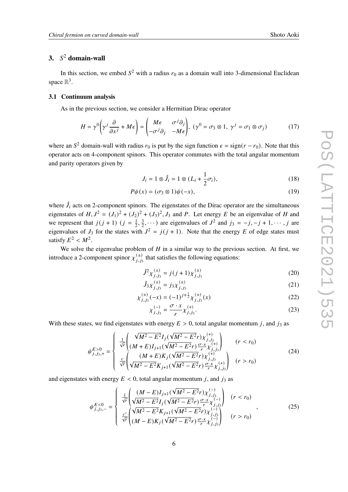## **3.** <sup>2</sup> **domain-wall**

In this section, we embed  $S^2$  with a radius  $r_0$  as a domain wall into 3-dimensional Euclidean space  $\mathbb{R}^3$ .

### **3.1 Continuum analysis**

As in the previous section, we consider a Hermitian Dirac operator

$$
H = \gamma^0 \left( \gamma^j \frac{\partial}{\partial x^j} + M \epsilon \right) = \begin{pmatrix} M \epsilon & \sigma^j \partial_j \\ -\sigma^j \partial_j & -M \epsilon \end{pmatrix}, \ (\gamma^0 = \sigma_3 \otimes 1, \ \gamma^j = \sigma_1 \otimes \sigma_j) \tag{17}
$$

where an  $S^2$  domain-wall with radius  $r_0$  is put by the sign function  $\epsilon = sign(r - r_0)$ . Note that this operator acts on 4-component spinors. This operator commutes with the total angular momentum and parity operators given by

$$
J_i = 1 \otimes \hat{J}_i = 1 \otimes (L_i + \frac{1}{2}\sigma_i), \tag{18}
$$

$$
P\psi(x) = (\sigma_3 \otimes 1)\psi(-x),\tag{19}
$$

where  $\hat{J}_i$  acts on 2-component spinors. The eigenstates of the Dirac operator are the simultaneous eigenstates of  $H, J^2 = (J_1)^2 + (J_2)^2 + (J_3)^2, J_3$  and P. Let energy E be an eigenvalue of H and we represent that  $j(j + 1)$   $(j = \frac{1}{2})$  $\frac{1}{2}, \frac{3}{2}$  $(\frac{3}{2}, \cdots)$  are eigenvalues of  $J^2$  and  $j_3 = -j, -j + 1, \cdots, j$  are eigenvalues of  $J_3$  for the states with  $J^2 = j(j + 1)$ . Note that the energy E of edge states must satisfy  $E^2 < M^2$ .

We solve the eigenvalue problem of  $H$  in a similar way to the previous section. At first, we introduce a 2-component spinor  $\chi_{j,j_3}^{(\pm)}$  that satisfies the following equations:

$$
\hat{J}^2 \chi_{j,j_3}^{(\pm)} = j(j+1) \chi_{j,j_3}^{(\pm)} \tag{20}
$$

$$
\hat{J}_3 \chi_{j,j_3}^{(\pm)} = j_3 \chi_{j,j_3}^{(\pm)} \tag{21}
$$

$$
\chi_{j,j_3}^{(\pm)}(-x) = (-1)^{j \mp \frac{1}{2}} \chi_{j,j_3}^{(\pm)}(x)
$$
\n(22)

$$
\chi_{j,j_3}^{(-)} = \frac{\sigma \cdot x}{r} \chi_{j,j_3}^{(+)}.
$$
\n(23)

With these states, we find eigenstates with energy  $E > 0$ , total angular momentum *i*, and *i*<sub>3</sub> as

$$
\psi_{j,j_3,+}^{E>0} = \begin{cases}\n\frac{1}{\sqrt{r}} \left( \frac{\sqrt{M^2 - E^2} I_j(\sqrt{M^2 - E^2} r) \chi_{j,j_3}^{(+)}}{(M + E) I_{j+1}(\sqrt{M^2 - E^2} r) \frac{\sigma \cdot x}{r} \chi_{j,j_3}^{(+)}} \right) & (r < r_0) \\
\frac{c}{\sqrt{r}} \left( \frac{(M + E) K_j(\sqrt{M^2 - E^2} r) \chi_{j,j_3}^{(+)}}{\sqrt{M^2 - E^2} K_{j+1}(\sqrt{M^2 - E^2} r) \frac{\sigma \cdot x}{r} \chi_{j,j_3}^{(+)}} \right) & (r > r_0)\n\end{cases} \tag{24}
$$

and eigenstates with energy  $E < 0$ , total angular momentum j, and j<sub>3</sub> as

$$
\psi_{j,j_3,-}^{E<0} = \begin{cases}\n\frac{1}{\sqrt{r}} \left( \frac{(M-E)I_{j+1}(\sqrt{M^2 - E^2}r) \chi_{j,j_3}^{(-)} }{\sqrt{M^2 - E^2}I_j(\sqrt{M^2 - E^2}r) \frac{\sigma \cdot x}{r} \chi_{j,j_3}^{(-)} }\right) & (r < r_0) \\
\frac{c'}{\sqrt{r}} \left( \frac{\sqrt{M^2 - E^2}K_{j+1}(\sqrt{M^2 - E^2}r) \chi_{j,j_3}^{(-)} }{\sqrt{M^2 - E^2}K_j(\sqrt{M^2 - E^2}r) \frac{\sigma \cdot x}{r} \chi_{j,j_3}^{(-)} }\right) & (r > r_0)\n\end{cases} \tag{25}
$$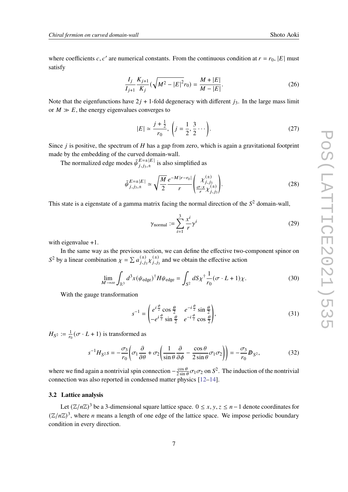where coefficients *c*, *c'* are numerical constants. From the continuous condition at  $r = r_0$ , |E| must satisfy

$$
\frac{I_j}{I_{j+1}} \frac{K_{j+1}}{K_j} \left( \sqrt{M^2 - |E|^2} r_0 \right) = \frac{M + |E|}{M - |E|}.
$$
 (26)

Note that the eigenfunctions have  $2j + 1$ -fold degeneracy with different  $j_3$ . In the large mass limit or  $M \gg E$ , the energy eigenvalues converges to

$$
|E| \simeq \frac{j + \frac{1}{2}}{r_0}, \left(j = \frac{1}{2}, \frac{3}{2} \cdots \right).
$$
 (27)

Since  $i$  is positive, the spectrum of  $H$  has a gap from zero, which is again a gravitational footprint made by the embedding of the curved domain-wall.

The normalized edge modes  $\tilde{\psi}^{E=\pm |E|}_{i,j_1,\pm}$  $\sum_{j,j_3,\pm}^{E=\pm|E|}$  is also simplified as

$$
\tilde{\psi}_{j,j_3,\pm}^{E=\pm|E|} \simeq \sqrt{\frac{M}{2}} \frac{e^{-M|r-r_0|}}{r} \left( \frac{\chi_{j,j_3}^{(\pm)}}{r} \right). \tag{28}
$$

This state is a eigenstate of a gamma matrix facing the normal direction of the  $S<sup>2</sup>$  domain-wall,

$$
\gamma_{\text{normal}} := \sum_{i=1}^{3} \frac{x^{i}}{r} \gamma^{i}
$$
 (29)

with eigenvalue +1.

In the same way as the previous section, we can define the effective two-component spinor on  $S^2$  by a linear combination  $\chi = \sum a_{j,j_3}^{(\pm)} \chi_{j,j_3}^{(\pm)}$  and we obtain the effective action

$$
\lim_{M \to \infty} \int_{\mathbb{R}^3} d^3 x (\psi_{\text{edge}})^{\dagger} H \psi_{\text{edge}} = \int_{S^2} dS \chi^{\dagger} \frac{1}{r_0} (\sigma \cdot L + 1) \chi. \tag{30}
$$

With the gauge transformation

$$
s^{-1} = \begin{pmatrix} e^{i\frac{\phi}{2}} \cos\frac{\theta}{2} & e^{-i\frac{\phi}{2}} \sin\frac{\theta}{2} \\ -e^{i\frac{\phi}{2}} \sin\frac{\theta}{2} & e^{-i\frac{\phi}{2}} \cos\frac{\theta}{2} \end{pmatrix},
$$
(31)

 $H_{S^2} := \frac{1}{r_0}$  $\frac{1}{r_0}$  ( $\sigma$  · L + 1) is transformed as

$$
s^{-1}H_{S^2}s = -\frac{\sigma_3}{r_0}\left(\sigma_1\frac{\partial}{\partial\theta} + \sigma_2\left(\frac{1}{\sin\theta}\frac{\partial}{\partial\phi} - \frac{\cos\theta}{2\sin\theta}\sigma_1\sigma_2\right)\right) = -\frac{\sigma_3}{r_0}D_{S^2},\tag{32}
$$

where we find again a nontrivial spin connection  $-\frac{\cos \theta}{2 \sin \theta}$  $\frac{\cos \theta}{2 \sin \theta} \sigma_1 \sigma_2$  on  $S^2$ . The induction of the nontrivial connection was also reported in condensed matter physics [12–14].

### **3.2 Lattice analysis**

Let  $(\mathbb{Z}/n\mathbb{Z})^3$  be a 3-dimensional square lattice space.  $0 \le x, y, z \le n-1$  denote coordinates for  $(\mathbb{Z}/n\mathbb{Z})^3$ , where *n* means a length of one edge of the lattice space. We impose periodic boundary condition in every direction.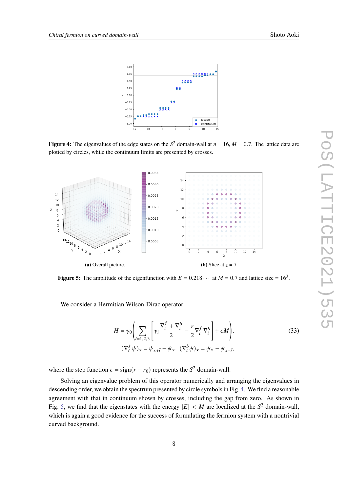

**Figure 4:** The eigenvalues of the edge states on the  $S^2$  domain-wall at  $n = 16$ ,  $M = 0.7$ . The lattice data are plotted by circles, while the continuum limits are presented by crosses.



**Figure 5:** The amplitude of the eigenfunction with  $E = 0.218 \cdots$  at  $M = 0.7$  and lattice size = 16<sup>3</sup>.

We consider a Hermitian Wilson-Dirac operator

$$
H = \gamma_0 \left( \sum_{i=1,2,3} \left[ \gamma_i \frac{\nabla_i^f + \nabla_i^b}{2} - \frac{r}{2} \nabla_i^f \nabla_i^b \right] + \epsilon M \right),
$$
  

$$
(\nabla_i^f \psi)_x = \psi_{x+\hat{i}} - \psi_x, \ (\nabla_i^b \psi)_x = \psi_x - \psi_{x-\hat{i}},
$$
 (33)

where the step function  $\epsilon = sign(r - r_0)$  represents the  $S^2$  domain-wall.

Solving an eigenvalue problem of this operator numerically and arranging the eigenvalues in descending order, we obtain the spectrum presented by circle symbols in Fig. 4. We find a reasonable agreement with that in continuum shown by crosses, including the gap from zero. As shown in Fig. 5, we find that the eigenstates with the energy  $|E| < M$  are localized at the  $S^2$  domain-wall, which is again a good evidence for the success of formulating the fermion system with a nontrivial curved background.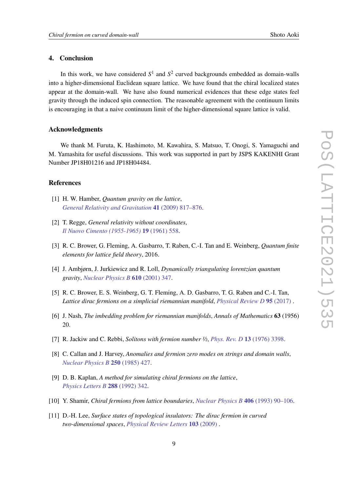### **4. Conclusion**

In this work, we have considered  $S^1$  and  $S^2$  curved backgrounds embedded as domain-walls into a higher-dimensional Euclidean square lattice. We have found that the chiral localized states appear at the domain-wall. We have also found numerical evidences that these edge states feel gravity through the induced spin connection. The reasonable agreement with the continuum limits is encouraging in that a naive continuum limit of the higher-dimensional square lattice is valid.

### **Acknowledgments**

We thank M. Furuta, K. Hashimoto, M. Kawahira, S. Matsuo, T. Onogi, S. Yamaguchi and M. Yamashita for useful discussions. This work was supported in part by JSPS KAKENHI Grant Number JP18H01216 and JP18H04484.

### **References**

- [1] H. W. Hamber, *Quantum gravity on the lattice*, *General Relativity and Gravitation* **41** (2009) 817–876.
- [2] T. Regge, *General relativity without coordinates*, *Il Nuovo Cimento (1955-1965)* **19** (1961) 558.
- [3] R. C. Brower, G. Fleming, A. Gasbarro, T. Raben, C.-I. Tan and E. Weinberg, *Quantum finite elements for lattice field theory*, 2016.
- [4] J. Ambjørn, J. Jurkiewicz and R. Loll, *Dynamically triangulating lorentzian quantum gravity*, *Nuclear Physics B* **610** (2001) 347.
- [5] R. C. Brower, E. S. Weinberg, G. T. Fleming, A. D. Gasbarro, T. G. Raben and C.-I. Tan, *Lattice dirac fermions on a simplicial riemannian manifold*, *Physical Review D* **95** (2017) .
- [6] J. Nash, *The imbedding problem for riemannian manifolds*, *Annals of Mathematics* **63** (1956) 20.
- [7] R. Jackiw and C. Rebbi, *Solitons with fermion number ½*, *Phys. Rev. D* **13** (1976) 3398.
- [8] C. Callan and J. Harvey, *Anomalies and fermion zero modes on strings and domain walls*, *Nuclear Physics B* **250** (1985) 427.
- [9] D. B. Kaplan, *A method for simulating chiral fermions on the lattice*, *Physics Letters B* **288** (1992) 342.
- [10] Y. Shamir, *Chiral fermions from lattice boundaries*, *Nuclear Physics B* **406** (1993) 90–106.
- [11] D.-H. Lee, *Surface states of topological insulators: The dirac fermion in curved two-dimensional spaces*, *Physical Review Letters* **103** (2009) .